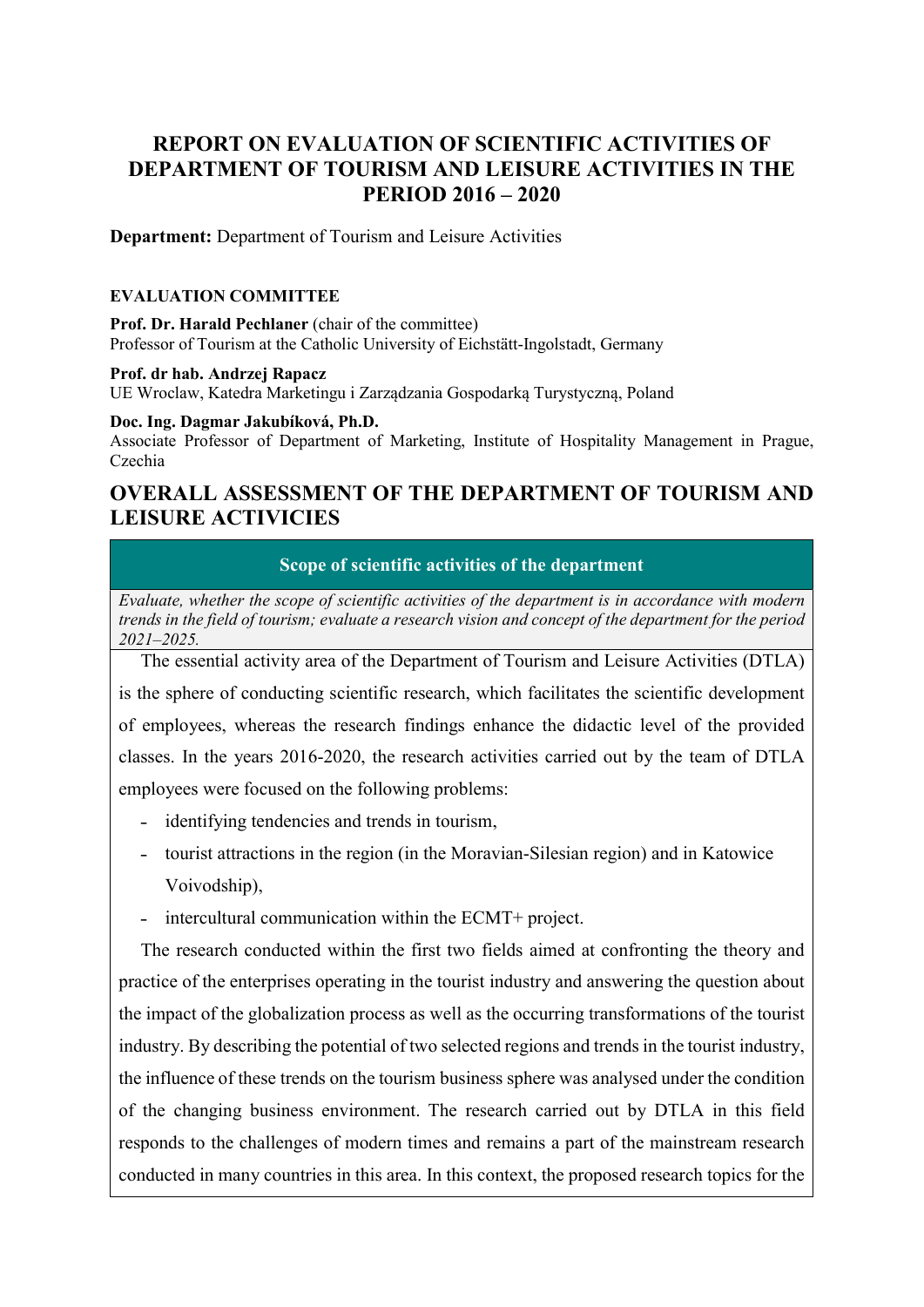# REPORT ON EVALUATION OF SCIENTIFIC ACTIVITIES OF DEPARTMENT OF TOURISM AND LEISURE ACTIVITIES IN THE PERIOD 2016 – 2020

Department: Department of Tourism and Leisure Activities

## EVALUATION COMMITTEE

Prof. Dr. Harald Pechlaner (chair of the committee) Professor of Tourism at the Catholic University of Eichstätt-Ingolstadt, Germany

#### Prof. dr hab. Andrzej Rapacz

UE Wroclaw, Katedra Marketingu i Zarządzania Gospodarką Turystyczną, Poland

#### Doc. Ing. Dagmar Jakubíková, Ph.D.

Associate Professor of Department of Marketing, Institute of Hospitality Management in Prague, Czechia

# OVERALL ASSESSMENT OF THE DEPARTMENT OF TOURISM AND LEISURE ACTIVICIES

Scope of scientific activities of the department

Evaluate, whether the scope of scientific activities of the department is in accordance with modern trends in the field of tourism; evaluate a research vision and concept of the department for the period 2021–2025.

The essential activity area of the Department of Tourism and Leisure Activities (DTLA) is the sphere of conducting scientific research, which facilitates the scientific development of employees, whereas the research findings enhance the didactic level of the provided classes. In the years 2016-2020, the research activities carried out by the team of DTLA employees were focused on the following problems:

- identifying tendencies and trends in tourism,
- ˗ tourist attractions in the region (in the Moravian-Silesian region) and in Katowice Voivodship),
- intercultural communication within the ECMT+ project.

The research conducted within the first two fields aimed at confronting the theory and practice of the enterprises operating in the tourist industry and answering the question about the impact of the globalization process as well as the occurring transformations of the tourist industry. By describing the potential of two selected regions and trends in the tourist industry, the influence of these trends on the tourism business sphere was analysed under the condition of the changing business environment. The research carried out by DTLA in this field responds to the challenges of modern times and remains a part of the mainstream research conducted in many countries in this area. In this context, the proposed research topics for the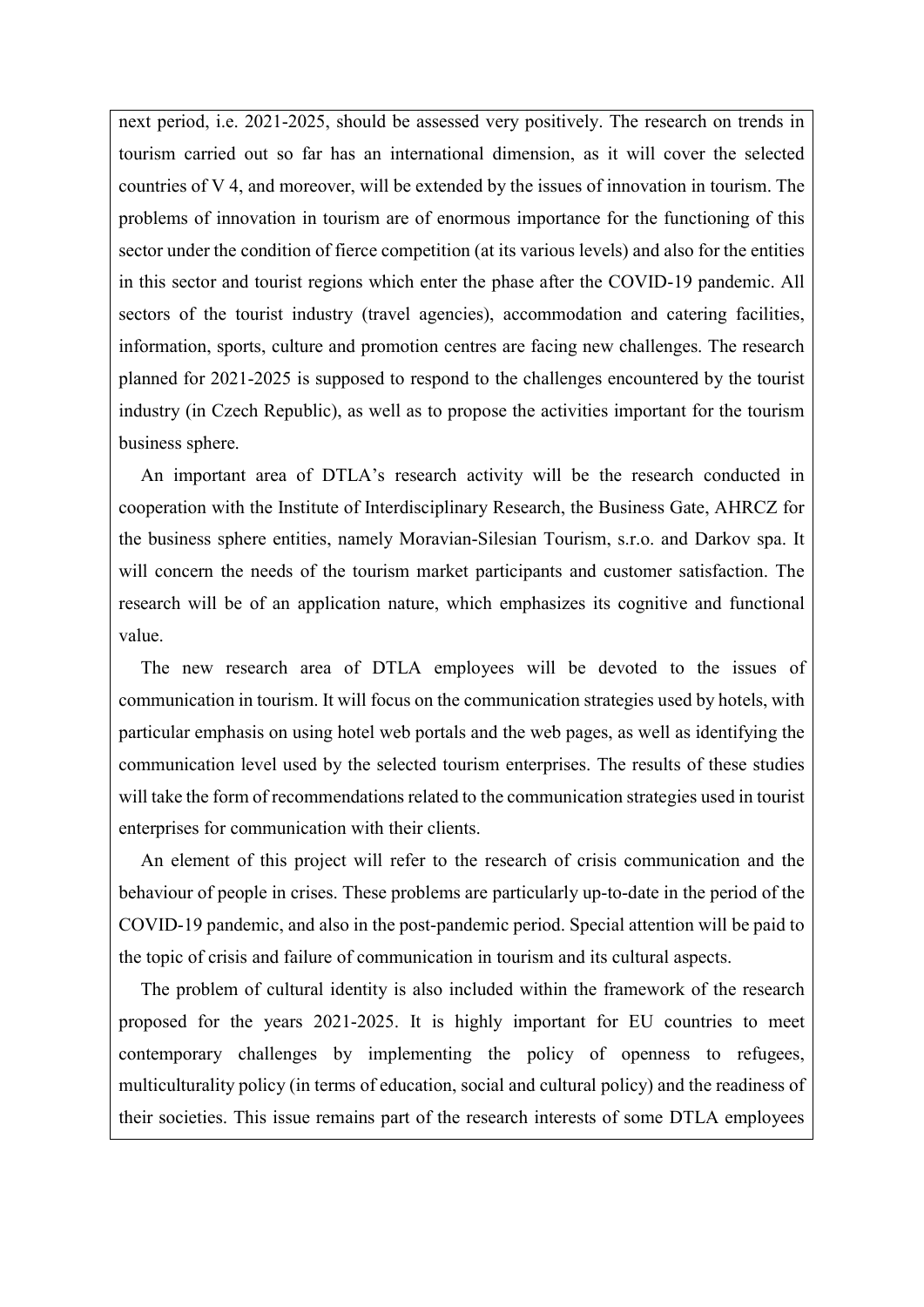next period, i.e. 2021-2025, should be assessed very positively. The research on trends in tourism carried out so far has an international dimension, as it will cover the selected countries of V 4, and moreover, will be extended by the issues of innovation in tourism. The problems of innovation in tourism are of enormous importance for the functioning of this sector under the condition of fierce competition (at its various levels) and also for the entities in this sector and tourist regions which enter the phase after the COVID-19 pandemic. All sectors of the tourist industry (travel agencies), accommodation and catering facilities, information, sports, culture and promotion centres are facing new challenges. The research planned for 2021-2025 is supposed to respond to the challenges encountered by the tourist industry (in Czech Republic), as well as to propose the activities important for the tourism business sphere.

An important area of DTLA's research activity will be the research conducted in cooperation with the Institute of Interdisciplinary Research, the Business Gate, AHRCZ for the business sphere entities, namely Moravian-Silesian Tourism, s.r.o. and Darkov spa. It will concern the needs of the tourism market participants and customer satisfaction. The research will be of an application nature, which emphasizes its cognitive and functional value.

The new research area of DTLA employees will be devoted to the issues of communication in tourism. It will focus on the communication strategies used by hotels, with particular emphasis on using hotel web portals and the web pages, as well as identifying the communication level used by the selected tourism enterprises. The results of these studies will take the form of recommendations related to the communication strategies used in tourist enterprises for communication with their clients.

An element of this project will refer to the research of crisis communication and the behaviour of people in crises. These problems are particularly up-to-date in the period of the COVID-19 pandemic, and also in the post-pandemic period. Special attention will be paid to the topic of crisis and failure of communication in tourism and its cultural aspects.

The problem of cultural identity is also included within the framework of the research proposed for the years 2021-2025. It is highly important for EU countries to meet contemporary challenges by implementing the policy of openness to refugees, multiculturality policy (in terms of education, social and cultural policy) and the readiness of their societies. This issue remains part of the research interests of some DTLA employees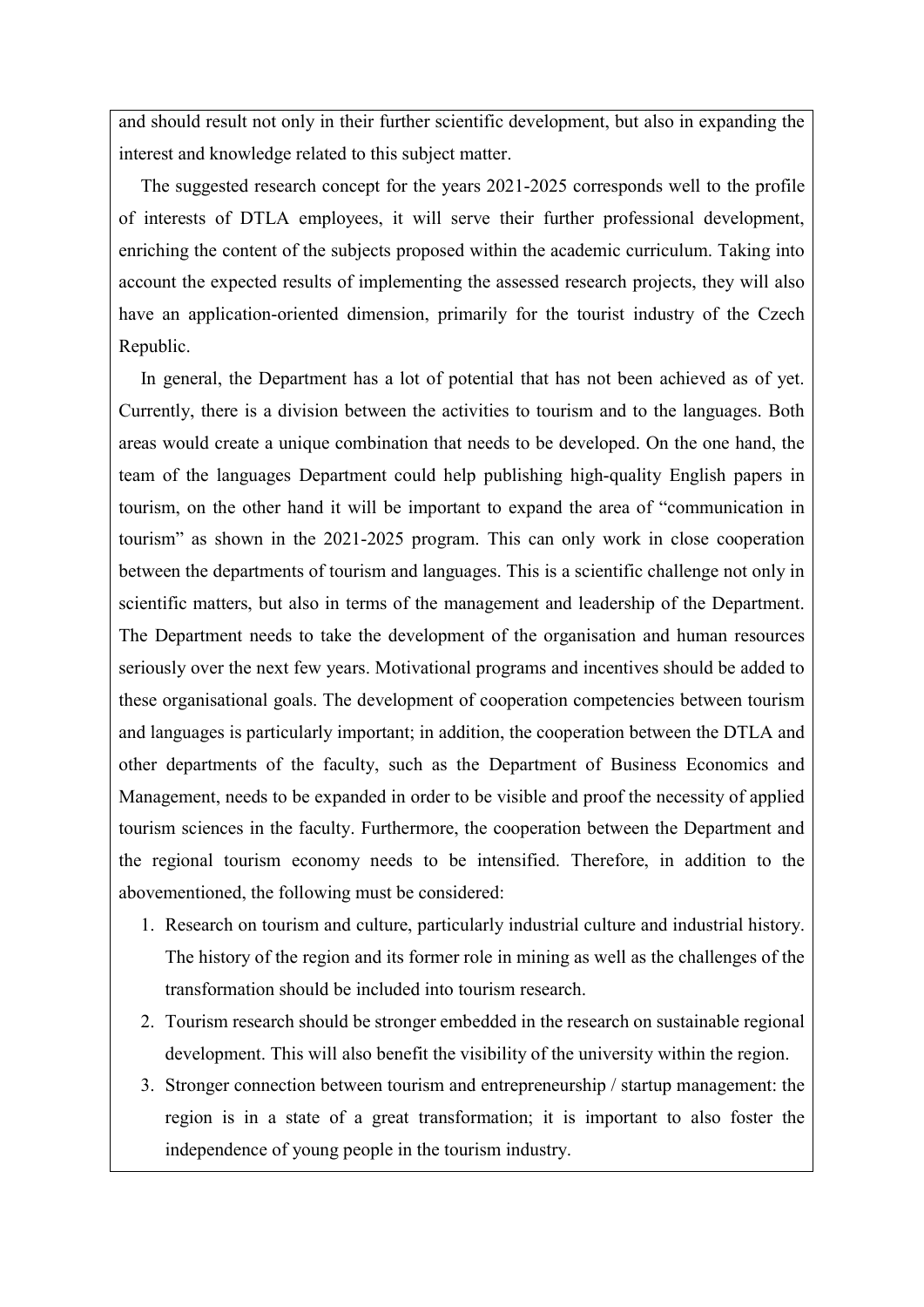and should result not only in their further scientific development, but also in expanding the interest and knowledge related to this subject matter.

The suggested research concept for the years 2021-2025 corresponds well to the profile of interests of DTLA employees, it will serve their further professional development, enriching the content of the subjects proposed within the academic curriculum. Taking into account the expected results of implementing the assessed research projects, they will also have an application-oriented dimension, primarily for the tourist industry of the Czech Republic.

In general, the Department has a lot of potential that has not been achieved as of yet. Currently, there is a division between the activities to tourism and to the languages. Both areas would create a unique combination that needs to be developed. On the one hand, the team of the languages Department could help publishing high-quality English papers in tourism, on the other hand it will be important to expand the area of "communication in tourism" as shown in the 2021-2025 program. This can only work in close cooperation between the departments of tourism and languages. This is a scientific challenge not only in scientific matters, but also in terms of the management and leadership of the Department. The Department needs to take the development of the organisation and human resources seriously over the next few years. Motivational programs and incentives should be added to these organisational goals. The development of cooperation competencies between tourism and languages is particularly important; in addition, the cooperation between the DTLA and other departments of the faculty, such as the Department of Business Economics and Management, needs to be expanded in order to be visible and proof the necessity of applied tourism sciences in the faculty. Furthermore, the cooperation between the Department and the regional tourism economy needs to be intensified. Therefore, in addition to the abovementioned, the following must be considered:

- 1. Research on tourism and culture, particularly industrial culture and industrial history. The history of the region and its former role in mining as well as the challenges of the transformation should be included into tourism research.
- 2. Tourism research should be stronger embedded in the research on sustainable regional development. This will also benefit the visibility of the university within the region.
- 3. Stronger connection between tourism and entrepreneurship / startup management: the region is in a state of a great transformation; it is important to also foster the independence of young people in the tourism industry.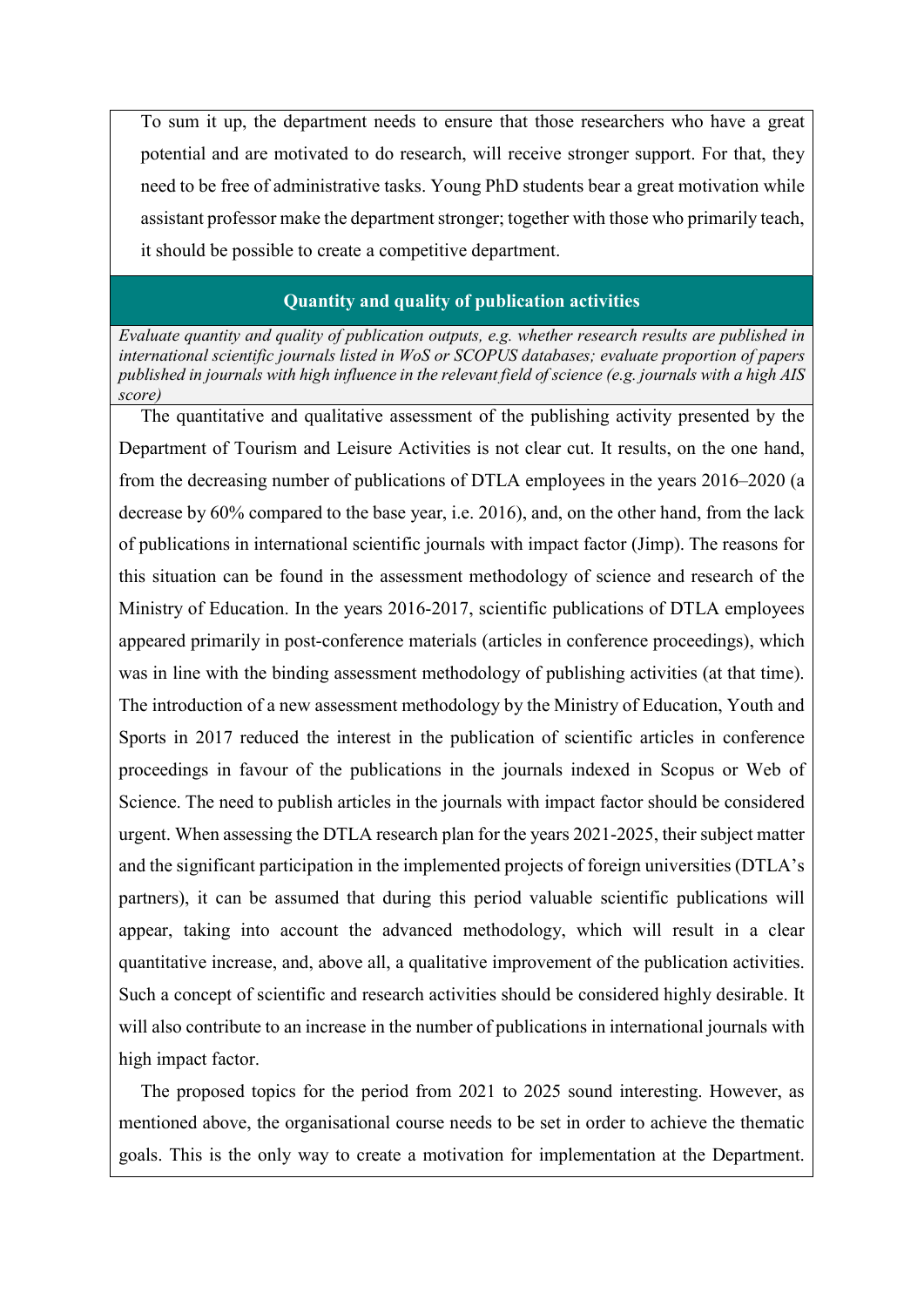To sum it up, the department needs to ensure that those researchers who have a great potential and are motivated to do research, will receive stronger support. For that, they need to be free of administrative tasks. Young PhD students bear a great motivation while assistant professor make the department stronger; together with those who primarily teach, it should be possible to create a competitive department.

## Quantity and quality of publication activities

Evaluate quantity and quality of publication outputs, e.g. whether research results are published in international scientific journals listed in WoS or SCOPUS databases; evaluate proportion of papers published in journals with high influence in the relevant field of science (e.g. journals with a high AIS score)

The quantitative and qualitative assessment of the publishing activity presented by the Department of Tourism and Leisure Activities is not clear cut. It results, on the one hand, from the decreasing number of publications of DTLA employees in the years 2016–2020 (a decrease by 60% compared to the base year, i.e. 2016), and, on the other hand, from the lack of publications in international scientific journals with impact factor (Jimp). The reasons for this situation can be found in the assessment methodology of science and research of the Ministry of Education. In the years 2016-2017, scientific publications of DTLA employees appeared primarily in post-conference materials (articles in conference proceedings), which was in line with the binding assessment methodology of publishing activities (at that time). The introduction of a new assessment methodology by the Ministry of Education, Youth and Sports in 2017 reduced the interest in the publication of scientific articles in conference proceedings in favour of the publications in the journals indexed in Scopus or Web of Science. The need to publish articles in the journals with impact factor should be considered urgent. When assessing the DTLA research plan for the years 2021-2025, their subject matter and the significant participation in the implemented projects of foreign universities (DTLA's partners), it can be assumed that during this period valuable scientific publications will appear, taking into account the advanced methodology, which will result in a clear quantitative increase, and, above all, a qualitative improvement of the publication activities. Such a concept of scientific and research activities should be considered highly desirable. It will also contribute to an increase in the number of publications in international journals with high impact factor.

The proposed topics for the period from 2021 to 2025 sound interesting. However, as mentioned above, the organisational course needs to be set in order to achieve the thematic goals. This is the only way to create a motivation for implementation at the Department.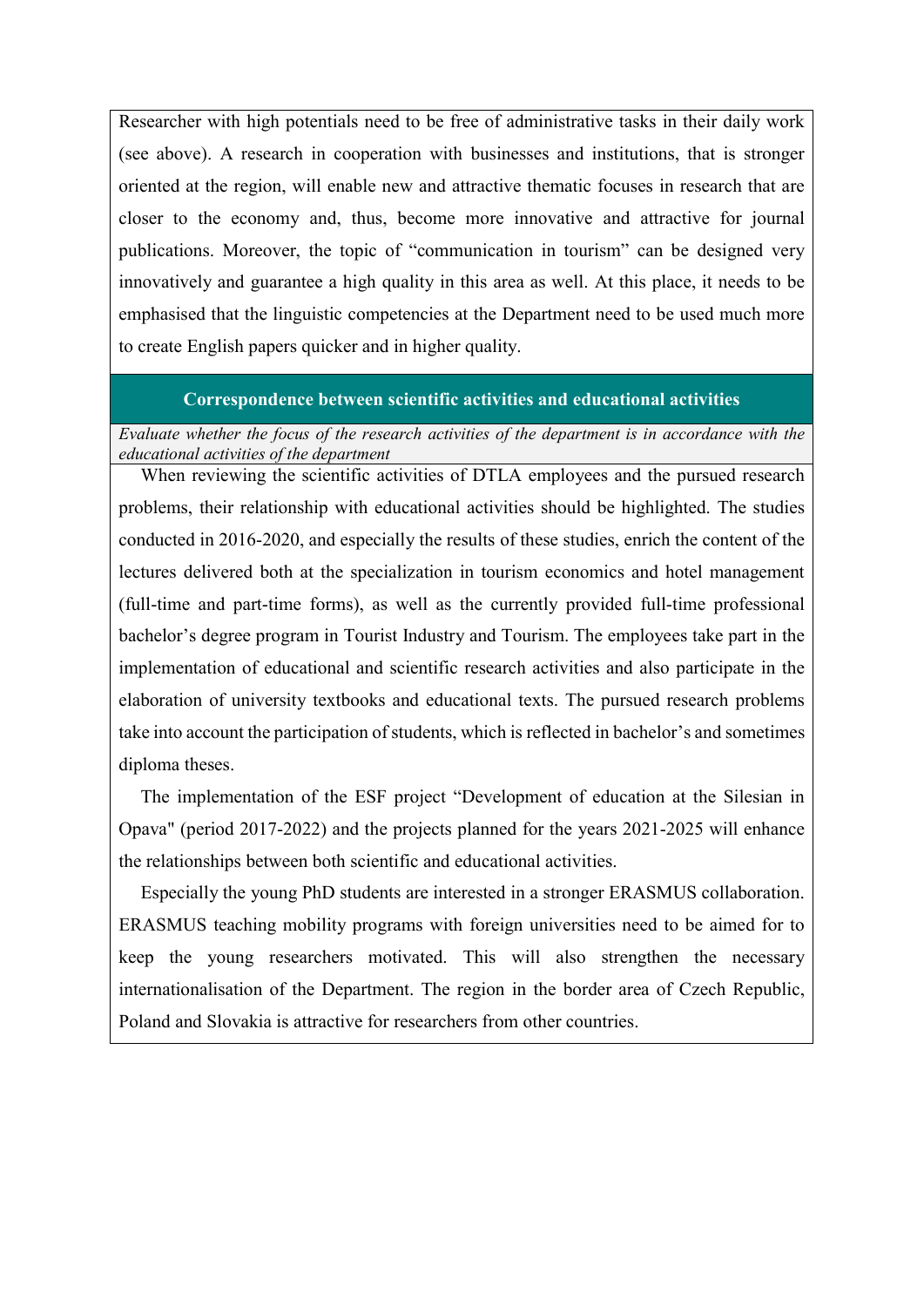Researcher with high potentials need to be free of administrative tasks in their daily work (see above). A research in cooperation with businesses and institutions, that is stronger oriented at the region, will enable new and attractive thematic focuses in research that are closer to the economy and, thus, become more innovative and attractive for journal publications. Moreover, the topic of "communication in tourism" can be designed very innovatively and guarantee a high quality in this area as well. At this place, it needs to be emphasised that the linguistic competencies at the Department need to be used much more to create English papers quicker and in higher quality.

## Correspondence between scientific activities and educational activities

Evaluate whether the focus of the research activities of the department is in accordance with the educational activities of the department

When reviewing the scientific activities of DTLA employees and the pursued research problems, their relationship with educational activities should be highlighted. The studies conducted in 2016-2020, and especially the results of these studies, enrich the content of the lectures delivered both at the specialization in tourism economics and hotel management (full-time and part-time forms), as well as the currently provided full-time professional bachelor's degree program in Tourist Industry and Tourism. The employees take part in the implementation of educational and scientific research activities and also participate in the elaboration of university textbooks and educational texts. The pursued research problems take into account the participation of students, which is reflected in bachelor's and sometimes diploma theses.

The implementation of the ESF project "Development of education at the Silesian in Opava" (period 2017-2022) and the projects planned for the years 2021-2025 will enhance the relationships between both scientific and educational activities.

Especially the young PhD students are interested in a stronger ERASMUS collaboration. ERASMUS teaching mobility programs with foreign universities need to be aimed for to keep the young researchers motivated. This will also strengthen the necessary internationalisation of the Department. The region in the border area of Czech Republic, Poland and Slovakia is attractive for researchers from other countries.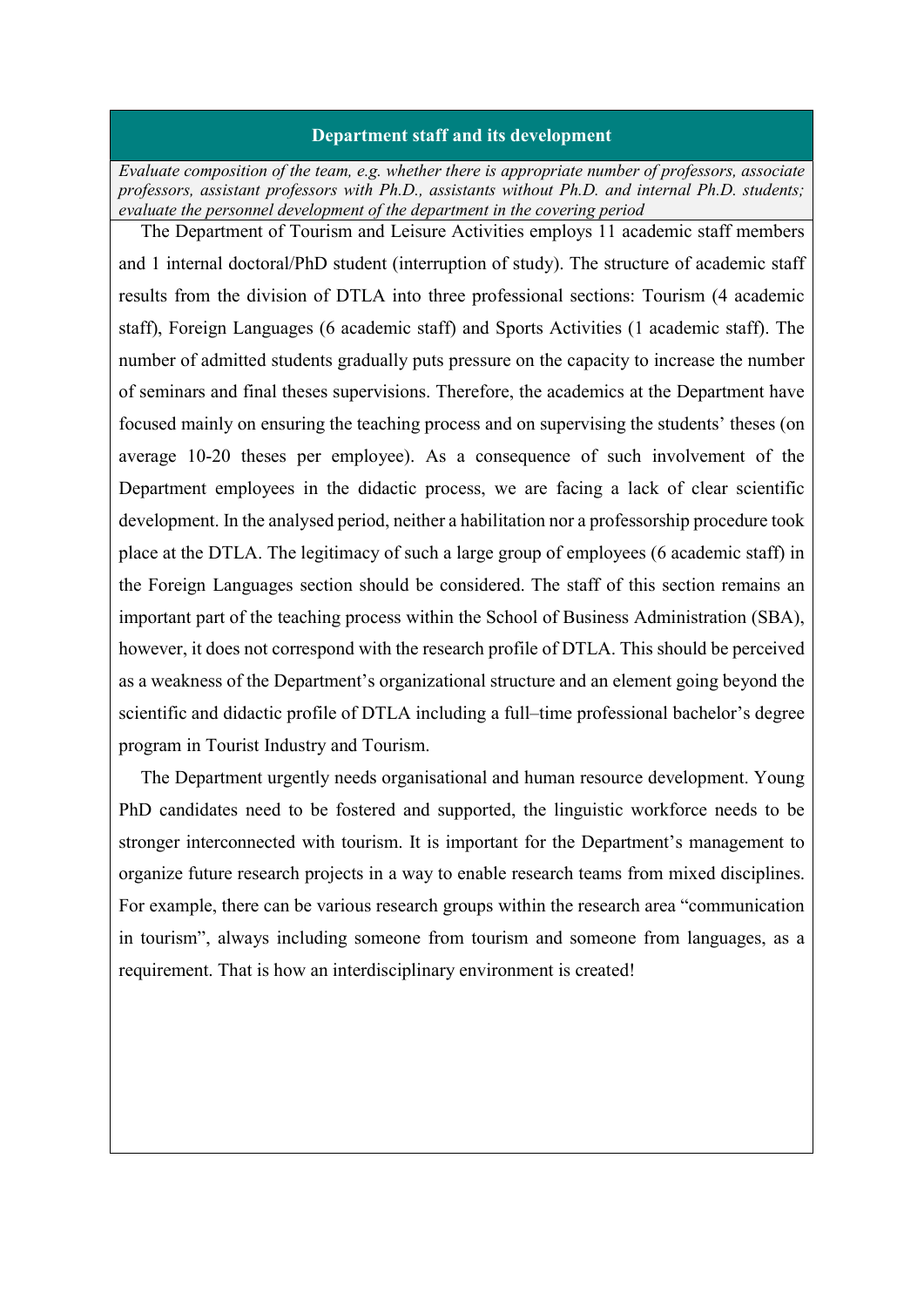#### Department staff and its development

Evaluate composition of the team, e.g. whether there is appropriate number of professors, associate professors, assistant professors with Ph.D., assistants without Ph.D. and internal Ph.D. students; evaluate the personnel development of the department in the covering period

The Department of Tourism and Leisure Activities employs 11 academic staff members and 1 internal doctoral/PhD student (interruption of study). The structure of academic staff results from the division of DTLA into three professional sections: Tourism (4 academic staff), Foreign Languages (6 academic staff) and Sports Activities (1 academic staff). The number of admitted students gradually puts pressure on the capacity to increase the number of seminars and final theses supervisions. Therefore, the academics at the Department have focused mainly on ensuring the teaching process and on supervising the students' theses (on average 10-20 theses per employee). As a consequence of such involvement of the Department employees in the didactic process, we are facing a lack of clear scientific development. In the analysed period, neither a habilitation nor a professorship procedure took place at the DTLA. The legitimacy of such a large group of employees (6 academic staff) in the Foreign Languages section should be considered. The staff of this section remains an important part of the teaching process within the School of Business Administration (SBA), however, it does not correspond with the research profile of DTLA. This should be perceived as a weakness of the Department's organizational structure and an element going beyond the scientific and didactic profile of DTLA including a full–time professional bachelor's degree program in Tourist Industry and Tourism.

The Department urgently needs organisational and human resource development. Young PhD candidates need to be fostered and supported, the linguistic workforce needs to be stronger interconnected with tourism. It is important for the Department's management to organize future research projects in a way to enable research teams from mixed disciplines. For example, there can be various research groups within the research area "communication in tourism", always including someone from tourism and someone from languages, as a requirement. That is how an interdisciplinary environment is created!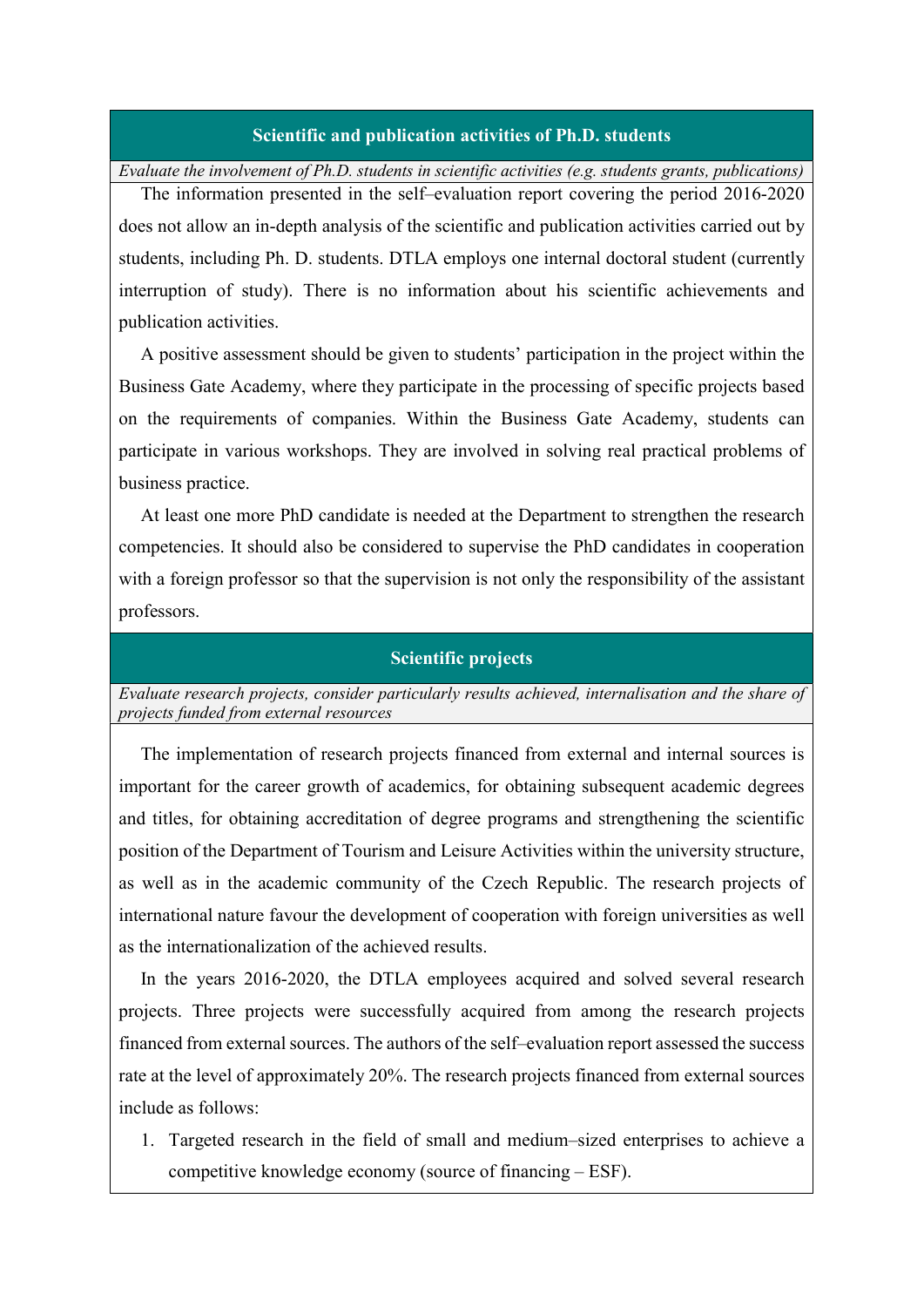#### Scientific and publication activities of Ph.D. students

Evaluate the involvement of Ph.D. students in scientific activities (e.g. students grants, publications)

The information presented in the self–evaluation report covering the period 2016-2020 does not allow an in-depth analysis of the scientific and publication activities carried out by students, including Ph. D. students. DTLA employs one internal doctoral student (currently interruption of study). There is no information about his scientific achievements and publication activities.

A positive assessment should be given to students' participation in the project within the Business Gate Academy, where they participate in the processing of specific projects based on the requirements of companies. Within the Business Gate Academy, students can participate in various workshops. They are involved in solving real practical problems of business practice.

At least one more PhD candidate is needed at the Department to strengthen the research competencies. It should also be considered to supervise the PhD candidates in cooperation with a foreign professor so that the supervision is not only the responsibility of the assistant professors.

#### Scientific projects

Evaluate research projects, consider particularly results achieved, internalisation and the share of projects funded from external resources

The implementation of research projects financed from external and internal sources is important for the career growth of academics, for obtaining subsequent academic degrees and titles, for obtaining accreditation of degree programs and strengthening the scientific position of the Department of Tourism and Leisure Activities within the university structure, as well as in the academic community of the Czech Republic. The research projects of international nature favour the development of cooperation with foreign universities as well as the internationalization of the achieved results.

In the years 2016-2020, the DTLA employees acquired and solved several research projects. Three projects were successfully acquired from among the research projects financed from external sources. The authors of the self–evaluation report assessed the success rate at the level of approximately 20%. The research projects financed from external sources include as follows:

1. Targeted research in the field of small and medium–sized enterprises to achieve a competitive knowledge economy (source of financing – ESF).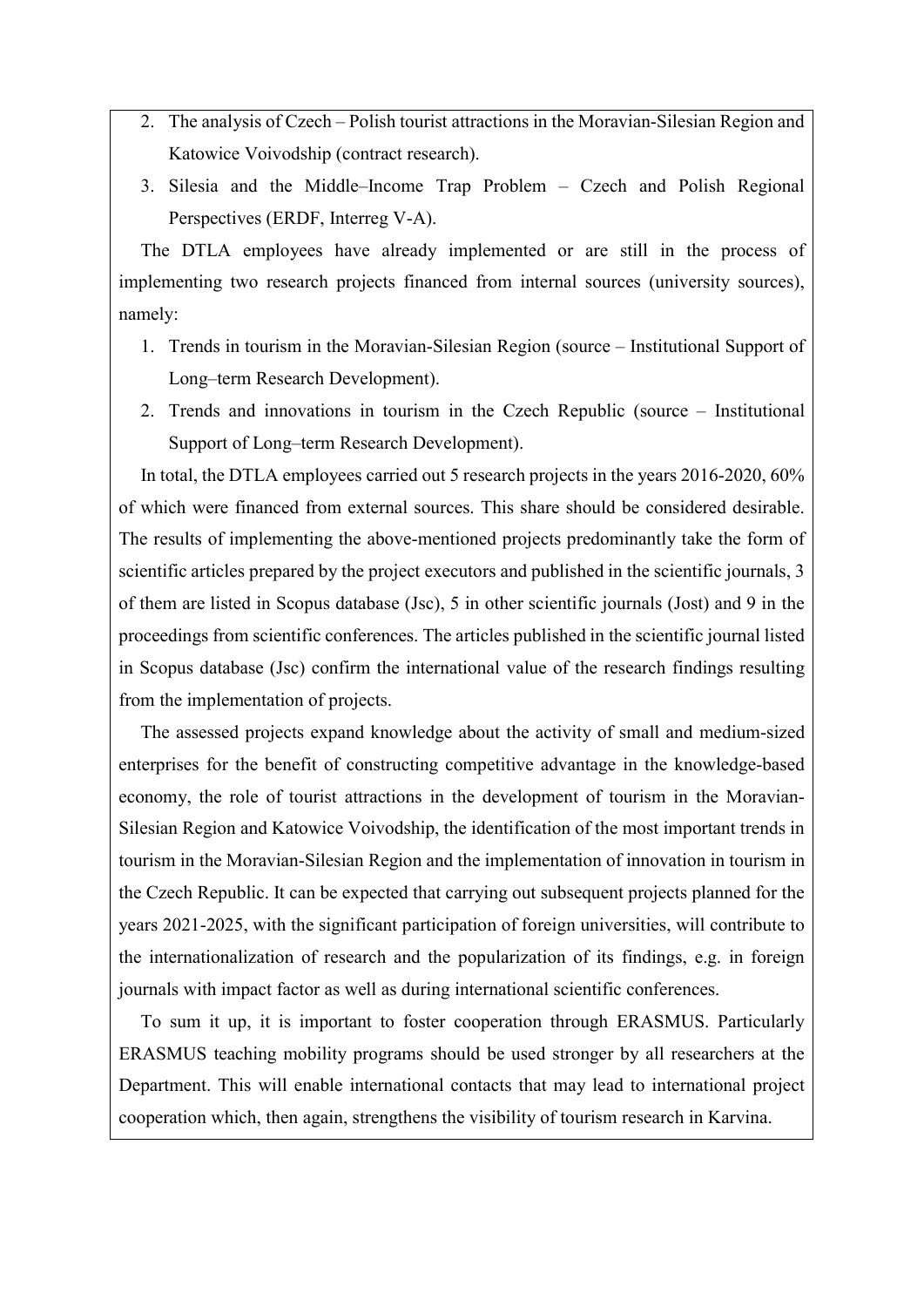- 2. The analysis of Czech Polish tourist attractions in the Moravian-Silesian Region and Katowice Voivodship (contract research).
- 3. Silesia and the Middle–Income Trap Problem Czech and Polish Regional Perspectives (ERDF, Interreg V-A).

The DTLA employees have already implemented or are still in the process of implementing two research projects financed from internal sources (university sources), namely:

- 1. Trends in tourism in the Moravian-Silesian Region (source Institutional Support of Long–term Research Development).
- 2. Trends and innovations in tourism in the Czech Republic (source Institutional Support of Long–term Research Development).

In total, the DTLA employees carried out 5 research projects in the years 2016-2020, 60% of which were financed from external sources. This share should be considered desirable. The results of implementing the above-mentioned projects predominantly take the form of scientific articles prepared by the project executors and published in the scientific journals, 3 of them are listed in Scopus database (Jsc), 5 in other scientific journals (Jost) and 9 in the proceedings from scientific conferences. The articles published in the scientific journal listed in Scopus database (Jsc) confirm the international value of the research findings resulting from the implementation of projects.

The assessed projects expand knowledge about the activity of small and medium-sized enterprises for the benefit of constructing competitive advantage in the knowledge-based economy, the role of tourist attractions in the development of tourism in the Moravian-Silesian Region and Katowice Voivodship, the identification of the most important trends in tourism in the Moravian-Silesian Region and the implementation of innovation in tourism in the Czech Republic. It can be expected that carrying out subsequent projects planned for the years 2021-2025, with the significant participation of foreign universities, will contribute to the internationalization of research and the popularization of its findings, e.g. in foreign journals with impact factor as well as during international scientific conferences.

To sum it up, it is important to foster cooperation through ERASMUS. Particularly ERASMUS teaching mobility programs should be used stronger by all researchers at the Department. This will enable international contacts that may lead to international project cooperation which, then again, strengthens the visibility of tourism research in Karvina.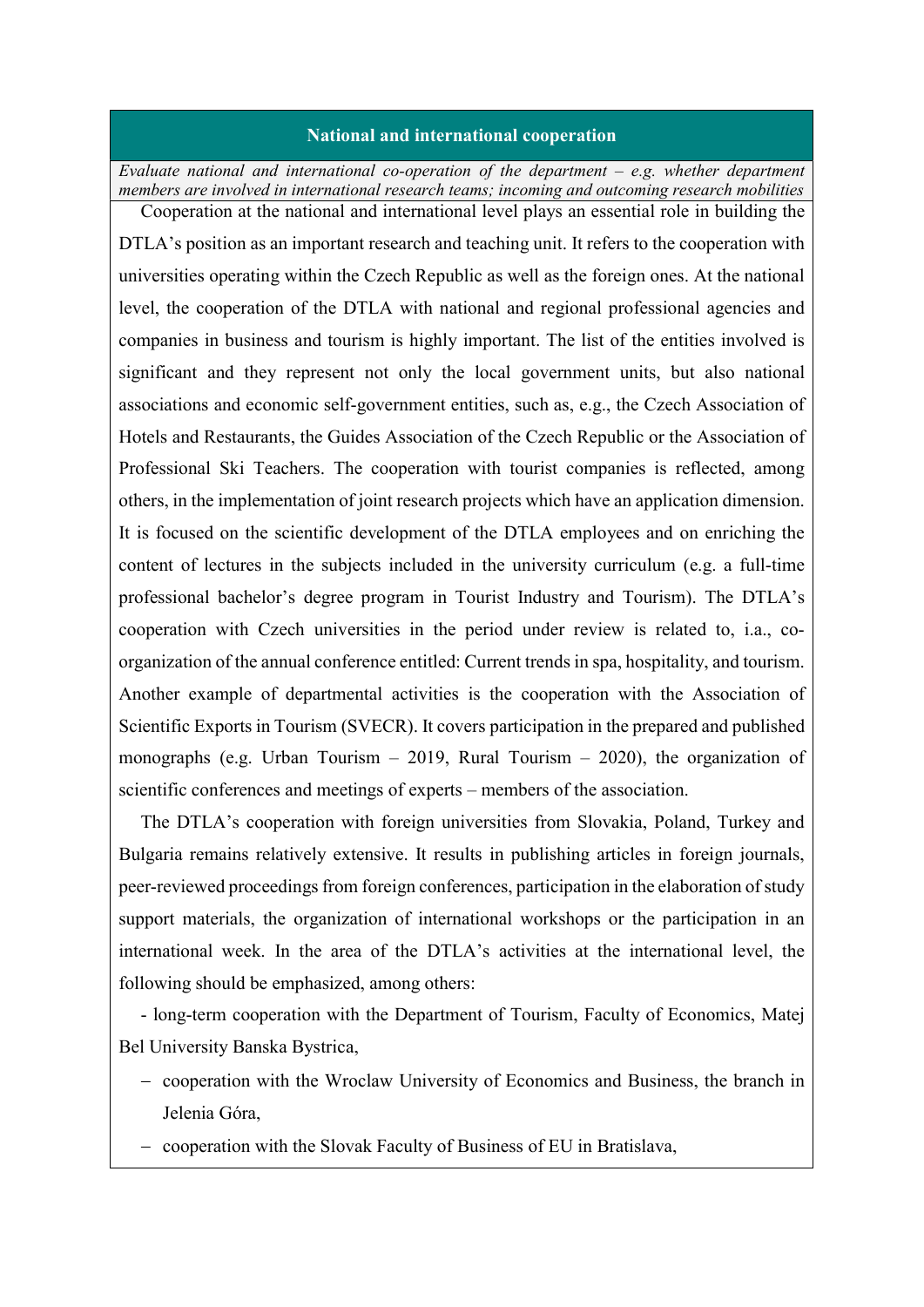#### National and international cooperation

Evaluate national and international co-operation of the department  $-e.g.$  whether department members are involved in international research teams; incoming and outcoming research mobilities Cooperation at the national and international level plays an essential role in building the

DTLA's position as an important research and teaching unit. It refers to the cooperation with universities operating within the Czech Republic as well as the foreign ones. At the national level, the cooperation of the DTLA with national and regional professional agencies and companies in business and tourism is highly important. The list of the entities involved is significant and they represent not only the local government units, but also national associations and economic self-government entities, such as, e.g., the Czech Association of Hotels and Restaurants, the Guides Association of the Czech Republic or the Association of Professional Ski Teachers. The cooperation with tourist companies is reflected, among others, in the implementation of joint research projects which have an application dimension. It is focused on the scientific development of the DTLA employees and on enriching the content of lectures in the subjects included in the university curriculum (e.g. a full-time professional bachelor's degree program in Tourist Industry and Tourism). The DTLA's cooperation with Czech universities in the period under review is related to, i.a., coorganization of the annual conference entitled: Current trends in spa, hospitality, and tourism. Another example of departmental activities is the cooperation with the Association of Scientific Exports in Tourism (SVECR). It covers participation in the prepared and published monographs (e.g. Urban Tourism  $-2019$ , Rural Tourism  $-2020$ ), the organization of scientific conferences and meetings of experts – members of the association.

The DTLA's cooperation with foreign universities from Slovakia, Poland, Turkey and Bulgaria remains relatively extensive. It results in publishing articles in foreign journals, peer-reviewed proceedings from foreign conferences, participation in the elaboration of study support materials, the organization of international workshops or the participation in an international week. In the area of the DTLA's activities at the international level, the following should be emphasized, among others:

- long-term cooperation with the Department of Tourism, Faculty of Economics, Matej Bel University Banska Bystrica,

- cooperation with the Wroclaw University of Economics and Business, the branch in Jelenia Góra,
- cooperation with the Slovak Faculty of Business of EU in Bratislava,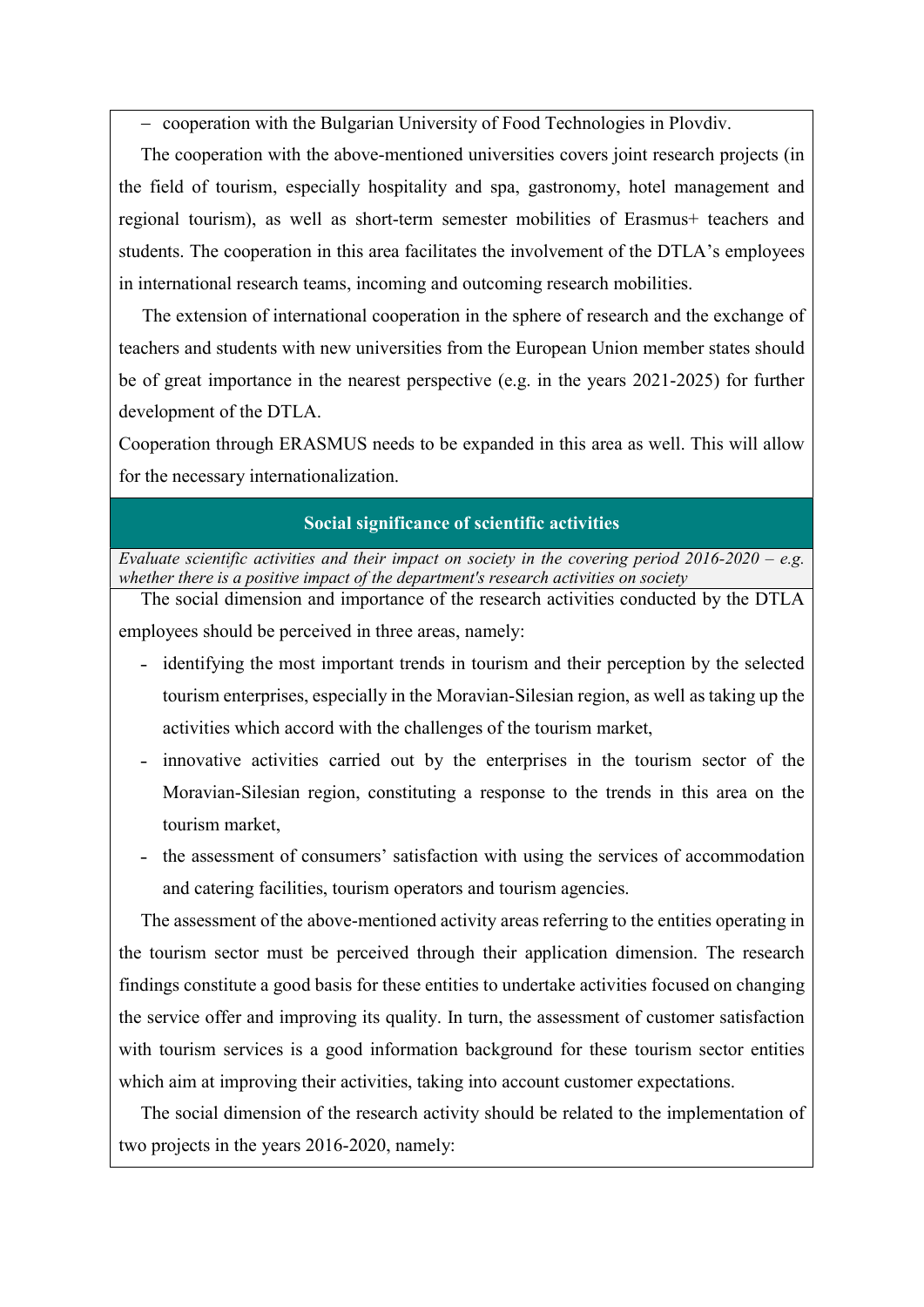- cooperation with the Bulgarian University of Food Technologies in Plovdiv.

The cooperation with the above-mentioned universities covers joint research projects (in the field of tourism, especially hospitality and spa, gastronomy, hotel management and regional tourism), as well as short-term semester mobilities of Erasmus+ teachers and students. The cooperation in this area facilitates the involvement of the DTLA's employees in international research teams, incoming and outcoming research mobilities.

 The extension of international cooperation in the sphere of research and the exchange of teachers and students with new universities from the European Union member states should be of great importance in the nearest perspective (e.g. in the years 2021-2025) for further development of the DTLA.

Cooperation through ERASMUS needs to be expanded in this area as well. This will allow for the necessary internationalization.

#### Social significance of scientific activities

Evaluate scientific activities and their impact on society in the covering period  $2016{\text -}2020 - e.g.$ whether there is a positive impact of the department's research activities on society

The social dimension and importance of the research activities conducted by the DTLA employees should be perceived in three areas, namely:

- identifying the most important trends in tourism and their perception by the selected tourism enterprises, especially in the Moravian-Silesian region, as well as taking up the activities which accord with the challenges of the tourism market,
- ˗ innovative activities carried out by the enterprises in the tourism sector of the Moravian-Silesian region, constituting a response to the trends in this area on the tourism market,
- ˗ the assessment of consumers' satisfaction with using the services of accommodation and catering facilities, tourism operators and tourism agencies.

The assessment of the above-mentioned activity areas referring to the entities operating in the tourism sector must be perceived through their application dimension. The research findings constitute a good basis for these entities to undertake activities focused on changing the service offer and improving its quality. In turn, the assessment of customer satisfaction with tourism services is a good information background for these tourism sector entities which aim at improving their activities, taking into account customer expectations.

The social dimension of the research activity should be related to the implementation of two projects in the years 2016-2020, namely: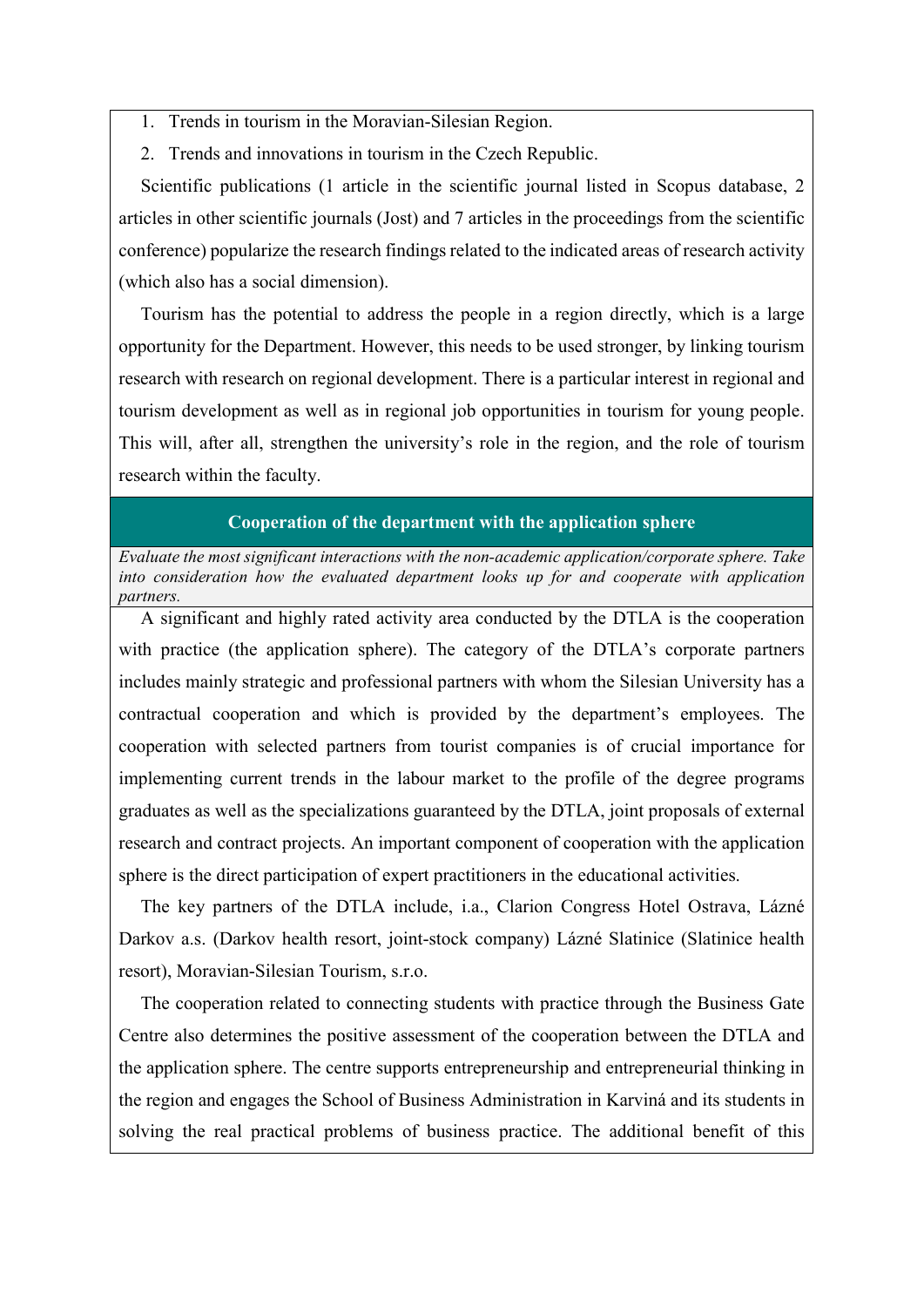- 1. Trends in tourism in the Moravian-Silesian Region.
- 2. Trends and innovations in tourism in the Czech Republic.

Scientific publications (1 article in the scientific journal listed in Scopus database, 2 articles in other scientific journals (Jost) and 7 articles in the proceedings from the scientific conference) popularize the research findings related to the indicated areas of research activity (which also has a social dimension).

Tourism has the potential to address the people in a region directly, which is a large opportunity for the Department. However, this needs to be used stronger, by linking tourism research with research on regional development. There is a particular interest in regional and tourism development as well as in regional job opportunities in tourism for young people. This will, after all, strengthen the university's role in the region, and the role of tourism research within the faculty.

#### Cooperation of the department with the application sphere

Evaluate the most significant interactions with the non-academic application/corporate sphere. Take into consideration how the evaluated department looks up for and cooperate with application partners.

A significant and highly rated activity area conducted by the DTLA is the cooperation with practice (the application sphere). The category of the DTLA's corporate partners includes mainly strategic and professional partners with whom the Silesian University has a contractual cooperation and which is provided by the department's employees. The cooperation with selected partners from tourist companies is of crucial importance for implementing current trends in the labour market to the profile of the degree programs graduates as well as the specializations guaranteed by the DTLA, joint proposals of external research and contract projects. An important component of cooperation with the application sphere is the direct participation of expert practitioners in the educational activities.

The key partners of the DTLA include, i.a., Clarion Congress Hotel Ostrava, Lázné Darkov a.s. (Darkov health resort, joint-stock company) Lázné Slatinice (Slatinice health resort), Moravian-Silesian Tourism, s.r.o.

The cooperation related to connecting students with practice through the Business Gate Centre also determines the positive assessment of the cooperation between the DTLA and the application sphere. The centre supports entrepreneurship and entrepreneurial thinking in the region and engages the School of Business Administration in Karviná and its students in solving the real practical problems of business practice. The additional benefit of this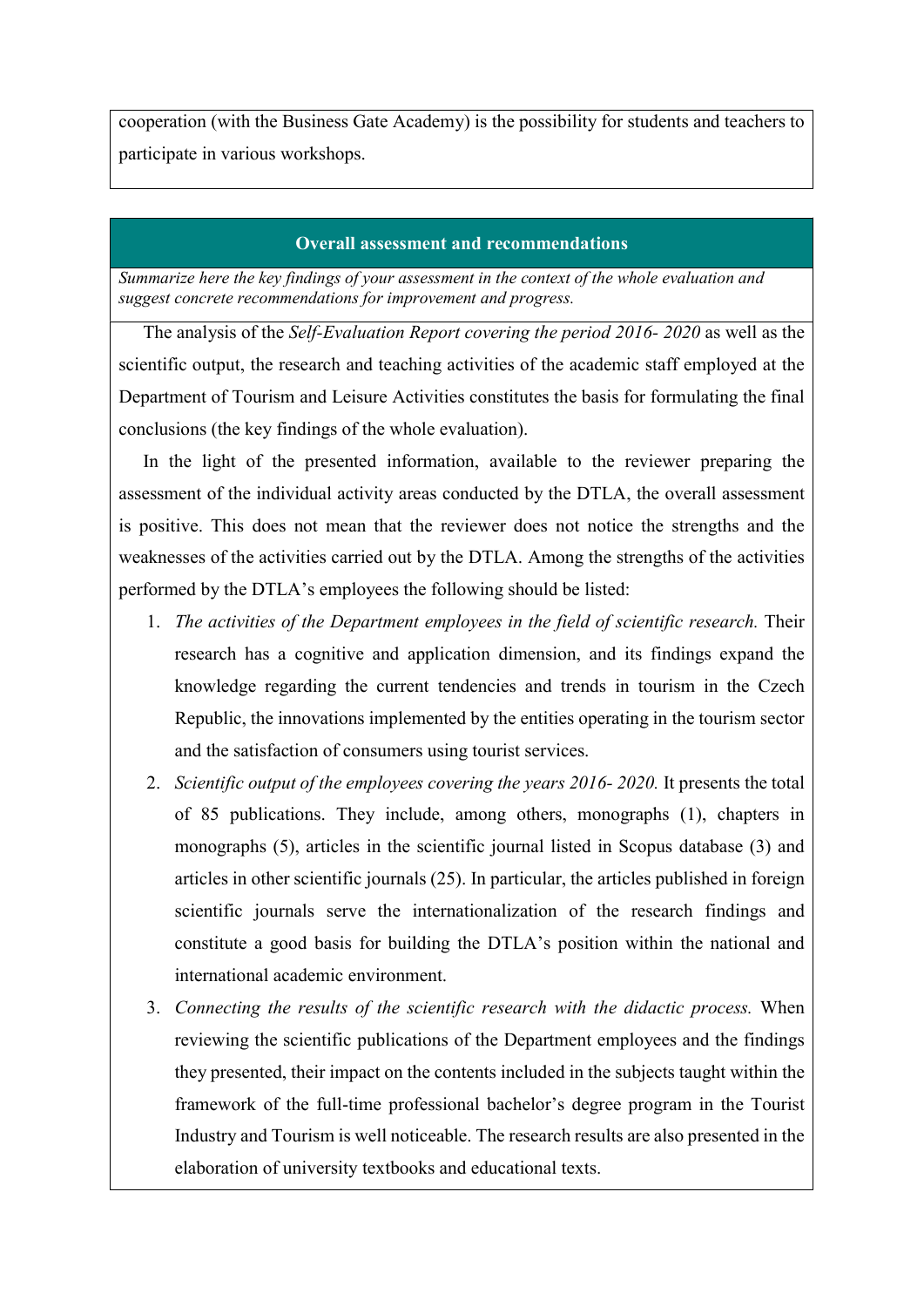cooperation (with the Business Gate Academy) is the possibility for students and teachers to participate in various workshops.

#### Overall assessment and recommendations

Summarize here the key findings of your assessment in the context of the whole evaluation and suggest concrete recommendations for improvement and progress.

The analysis of the Self-Evaluation Report covering the period 2016- 2020 as well as the scientific output, the research and teaching activities of the academic staff employed at the Department of Tourism and Leisure Activities constitutes the basis for formulating the final conclusions (the key findings of the whole evaluation).

In the light of the presented information, available to the reviewer preparing the assessment of the individual activity areas conducted by the DTLA, the overall assessment is positive. This does not mean that the reviewer does not notice the strengths and the weaknesses of the activities carried out by the DTLA. Among the strengths of the activities performed by the DTLA's employees the following should be listed:

- 1. The activities of the Department employees in the field of scientific research. Their research has a cognitive and application dimension, and its findings expand the knowledge regarding the current tendencies and trends in tourism in the Czech Republic, the innovations implemented by the entities operating in the tourism sector and the satisfaction of consumers using tourist services.
- 2. Scientific output of the employees covering the years 2016- 2020. It presents the total of 85 publications. They include, among others, monographs (1), chapters in monographs (5), articles in the scientific journal listed in Scopus database (3) and articles in other scientific journals (25). In particular, the articles published in foreign scientific journals serve the internationalization of the research findings and constitute a good basis for building the DTLA's position within the national and international academic environment.
- 3. Connecting the results of the scientific research with the didactic process. When reviewing the scientific publications of the Department employees and the findings they presented, their impact on the contents included in the subjects taught within the framework of the full-time professional bachelor's degree program in the Tourist Industry and Tourism is well noticeable. The research results are also presented in the elaboration of university textbooks and educational texts.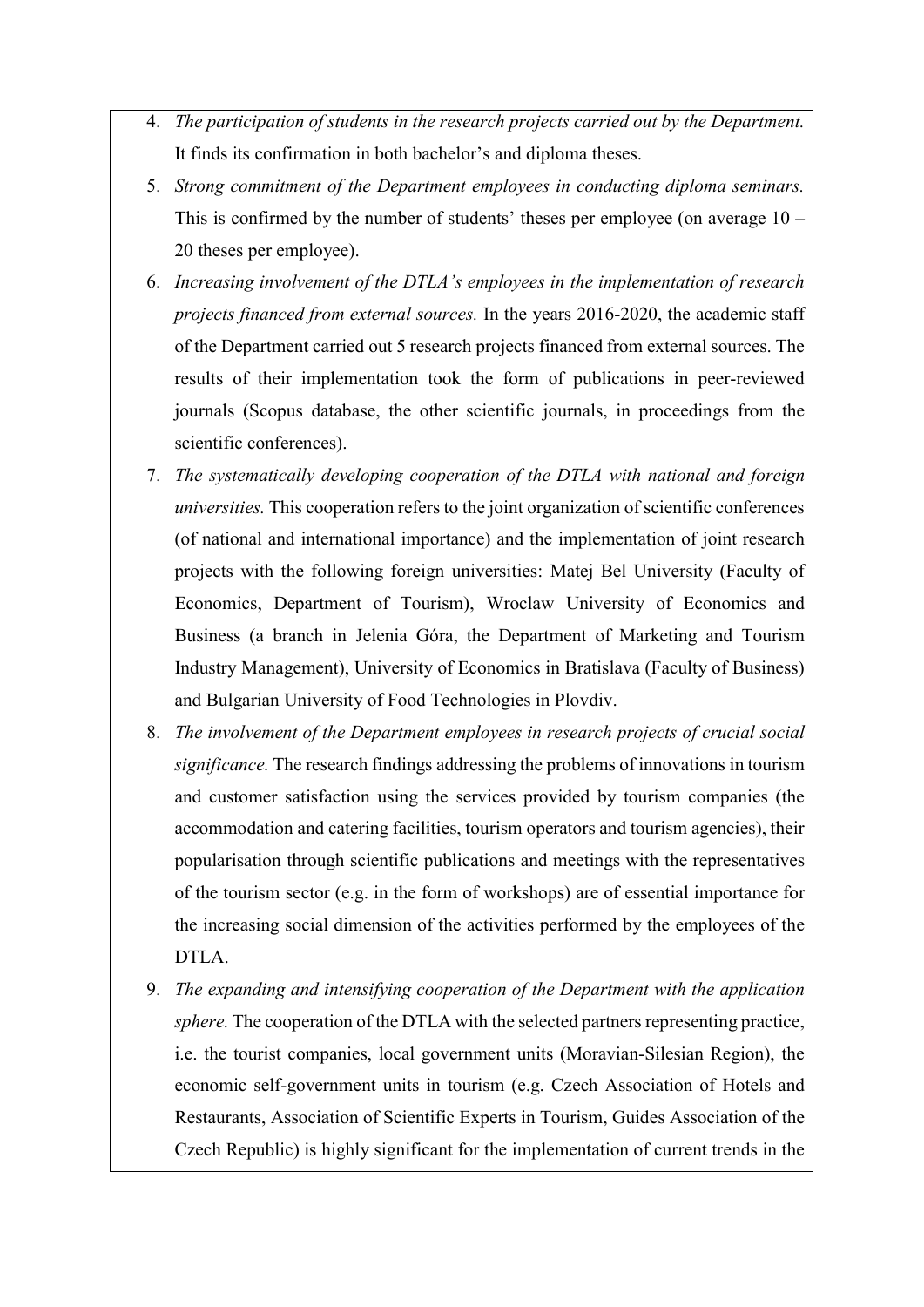- 4. The participation of students in the research projects carried out by the Department. It finds its confirmation in both bachelor's and diploma theses.
- 5. Strong commitment of the Department employees in conducting diploma seminars. This is confirmed by the number of students' theses per employee (on average  $10 -$ 20 theses per employee).
- 6. Increasing involvement of the DTLA's employees in the implementation of research projects financed from external sources. In the years 2016-2020, the academic staff of the Department carried out 5 research projects financed from external sources. The results of their implementation took the form of publications in peer-reviewed journals (Scopus database, the other scientific journals, in proceedings from the scientific conferences).
- 7. The systematically developing cooperation of the DTLA with national and foreign universities. This cooperation refers to the joint organization of scientific conferences (of national and international importance) and the implementation of joint research projects with the following foreign universities: Matej Bel University (Faculty of Economics, Department of Tourism), Wroclaw University of Economics and Business (a branch in Jelenia Góra, the Department of Marketing and Tourism Industry Management), University of Economics in Bratislava (Faculty of Business) and Bulgarian University of Food Technologies in Plovdiv.
- 8. The involvement of the Department employees in research projects of crucial social significance. The research findings addressing the problems of innovations in tourism and customer satisfaction using the services provided by tourism companies (the accommodation and catering facilities, tourism operators and tourism agencies), their popularisation through scientific publications and meetings with the representatives of the tourism sector (e.g. in the form of workshops) are of essential importance for the increasing social dimension of the activities performed by the employees of the DTLA.
- 9. The expanding and intensifying cooperation of the Department with the application sphere. The cooperation of the DTLA with the selected partners representing practice, i.e. the tourist companies, local government units (Moravian-Silesian Region), the economic self-government units in tourism (e.g. Czech Association of Hotels and Restaurants, Association of Scientific Experts in Tourism, Guides Association of the Czech Republic) is highly significant for the implementation of current trends in the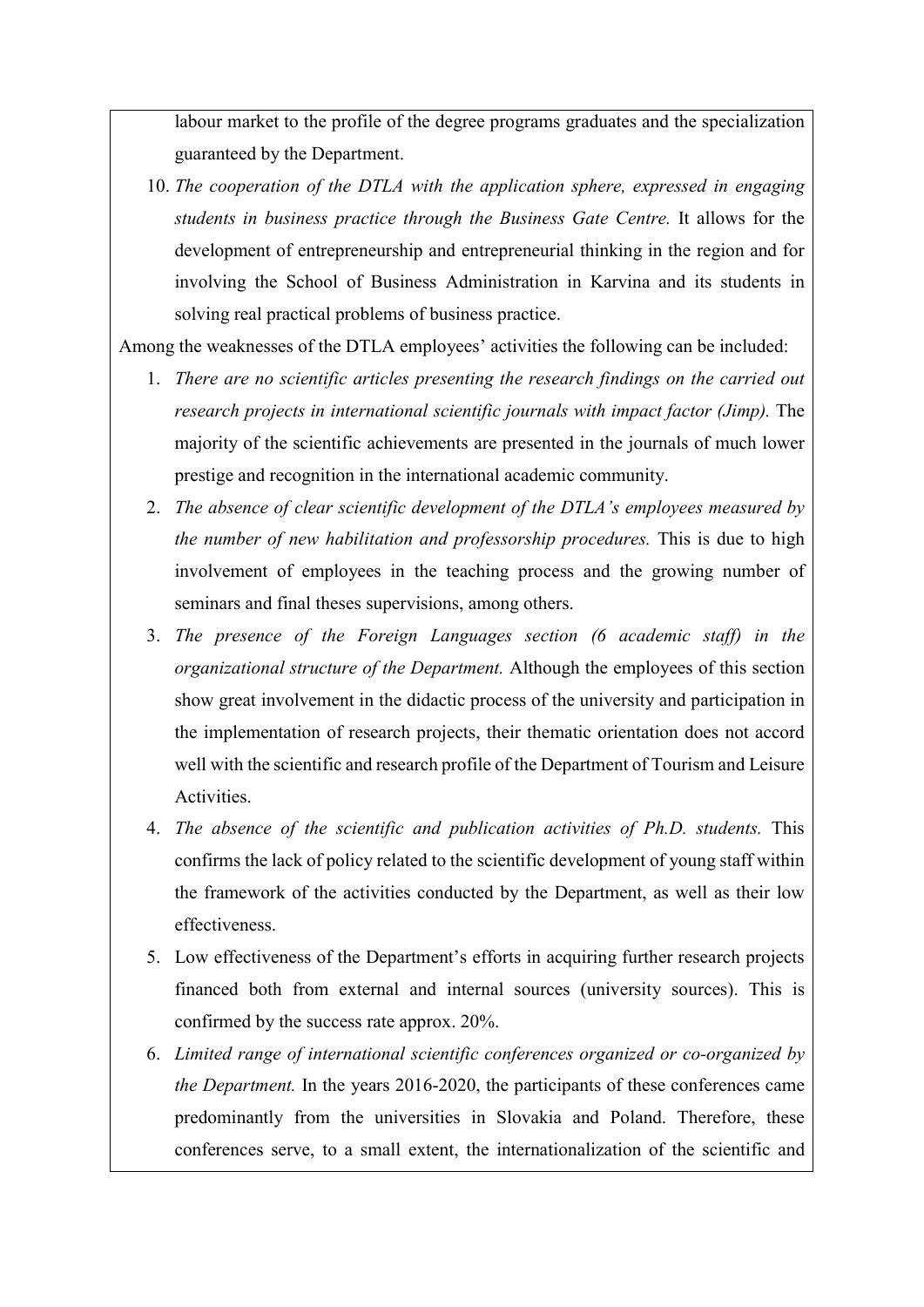labour market to the profile of the degree programs graduates and the specialization guaranteed by the Department.

10. The cooperation of the DTLA with the application sphere, expressed in engaging students in business practice through the Business Gate Centre. It allows for the development of entrepreneurship and entrepreneurial thinking in the region and for involving the School of Business Administration in Karvina and its students in solving real practical problems of business practice.

Among the weaknesses of the DTLA employees' activities the following can be included:

- 1. There are no scientific articles presenting the research findings on the carried out research projects in international scientific journals with impact factor (Jimp). The majority of the scientific achievements are presented in the journals of much lower prestige and recognition in the international academic community.
- 2. The absence of clear scientific development of the DTLA's employees measured by the number of new habilitation and professorship procedures. This is due to high involvement of employees in the teaching process and the growing number of seminars and final theses supervisions, among others.
- 3. The presence of the Foreign Languages section (6 academic staff) in the organizational structure of the Department. Although the employees of this section show great involvement in the didactic process of the university and participation in the implementation of research projects, their thematic orientation does not accord well with the scientific and research profile of the Department of Tourism and Leisure Activities.
- 4. The absence of the scientific and publication activities of Ph.D. students. This confirms the lack of policy related to the scientific development of young staff within the framework of the activities conducted by the Department, as well as their low effectiveness.
- 5. Low effectiveness of the Department's efforts in acquiring further research projects financed both from external and internal sources (university sources). This is confirmed by the success rate approx. 20%.
- 6. Limited range of international scientific conferences organized or co-organized by the Department. In the years 2016-2020, the participants of these conferences came predominantly from the universities in Slovakia and Poland. Therefore, these conferences serve, to a small extent, the internationalization of the scientific and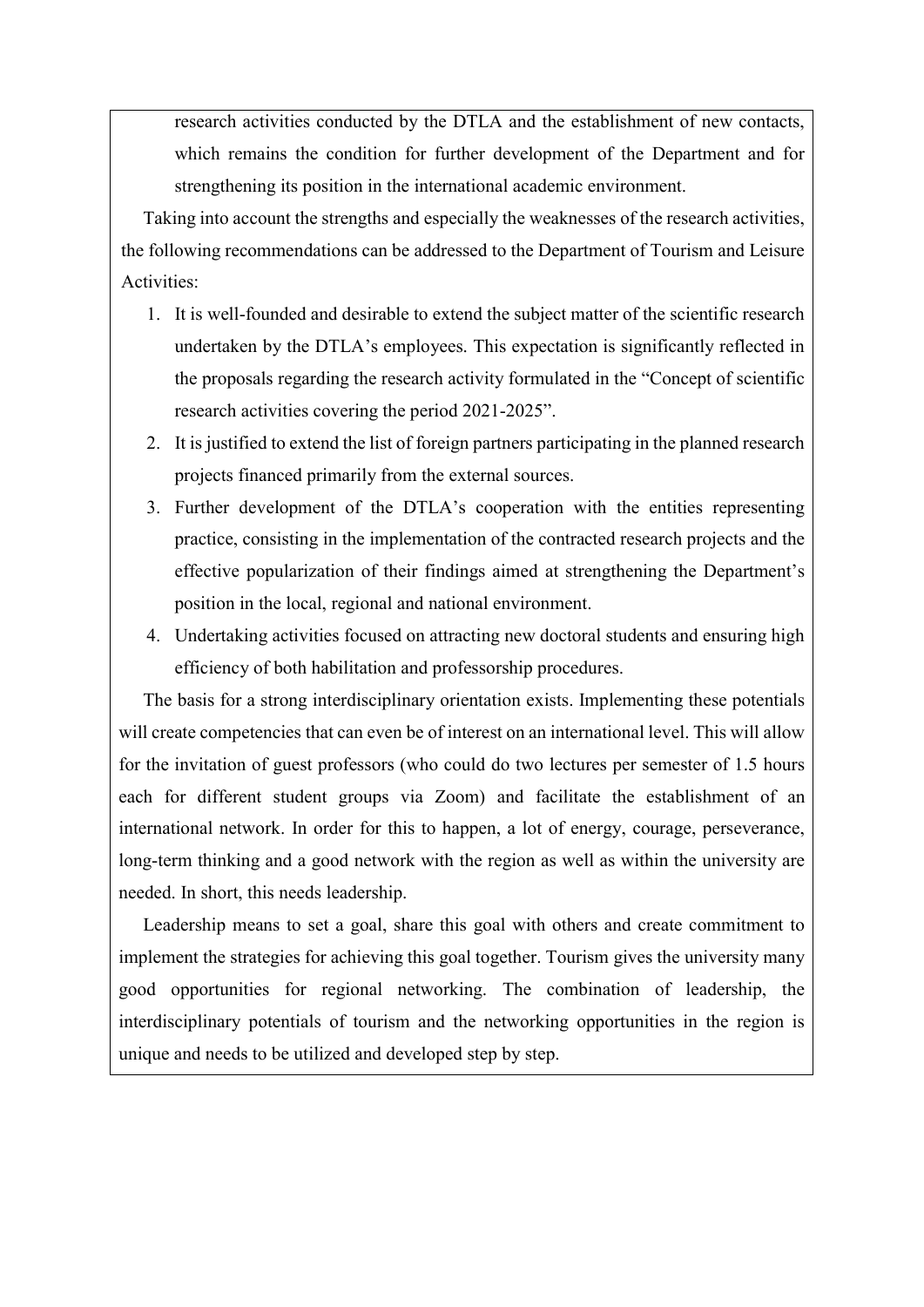research activities conducted by the DTLA and the establishment of new contacts, which remains the condition for further development of the Department and for strengthening its position in the international academic environment.

Taking into account the strengths and especially the weaknesses of the research activities, the following recommendations can be addressed to the Department of Tourism and Leisure Activities:

- 1. It is well-founded and desirable to extend the subject matter of the scientific research undertaken by the DTLA's employees. This expectation is significantly reflected in the proposals regarding the research activity formulated in the "Concept of scientific research activities covering the period 2021-2025".
- 2. It is justified to extend the list of foreign partners participating in the planned research projects financed primarily from the external sources.
- 3. Further development of the DTLA's cooperation with the entities representing practice, consisting in the implementation of the contracted research projects and the effective popularization of their findings aimed at strengthening the Department's position in the local, regional and national environment.
- 4. Undertaking activities focused on attracting new doctoral students and ensuring high efficiency of both habilitation and professorship procedures.

The basis for a strong interdisciplinary orientation exists. Implementing these potentials will create competencies that can even be of interest on an international level. This will allow for the invitation of guest professors (who could do two lectures per semester of 1.5 hours each for different student groups via Zoom) and facilitate the establishment of an international network. In order for this to happen, a lot of energy, courage, perseverance, long-term thinking and a good network with the region as well as within the university are needed. In short, this needs leadership.

Leadership means to set a goal, share this goal with others and create commitment to implement the strategies for achieving this goal together. Tourism gives the university many good opportunities for regional networking. The combination of leadership, the interdisciplinary potentials of tourism and the networking opportunities in the region is unique and needs to be utilized and developed step by step.